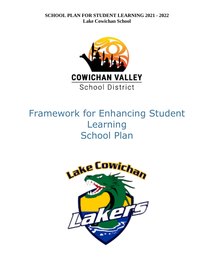

# Framework for Enhancing Student Learning School Plan

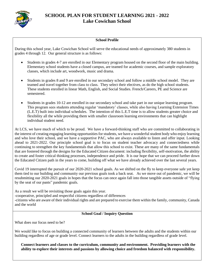

# **School Profile**

During this school year, Lake Cowichan School will serve the educational needs of approximately 380 students in grades 4 through 12. Our general structure is as follows:

- Students in grades 4-7 are enrolled in our Elementary program housed on the second floor of the main building. Elementary school students have a closed campus, are teamed for academic courses, and sample exploratory classes, which include art, woodwork, music and drama.
- Students in grades 8 and 9 are enrolled in our secondary school and follow a middle school model. They are teamed and travel together from class to class. They select their electives, as do the high school students. These students enrolled in linear Math, English, and Social Studies. French/Careers, PE and Science are semestered.
- Students in grades 10-12 are enrolled in our secondary school and take part in our unique learning program. This program sees students attending regular 'mandatory' classes, while also having Learning Extension Times (L.E.T) built into individual schedules. The intention of this L.E.T time is to allow students greater choice and flexibility all the while providing them with smaller classroom learning environments that can highlight individual student need.

At LCS, we have much of which to be proud. We have a forward-thinking staff who are committed to collaborating in the interest of creating engaging learning opportunities for students, we have a wonderful student body who enjoy learning and who love their school, and we have a supportive PAC, who are always available to listen and offer input. Looking ahead to 2021-2022. Our principle school goal is to focus on student teacher advocacy and connectedness while continuing to strengthen the key fundamentals that allow this school to exist. These are many of the same fundamentals that are fostered through the designs for the Educated Citizen document: including flexibility, self-motivation, the ability to create and foster critical thinking processes, independence and pride. It is our hope that we can proceed further down the Educated Citizen path in the years to come, building off what we have already achieved over the last several years.

Covid 19 interrupted the pursuit of our 2020-2021 school goals. As we shifted on the fly to keep everyone safe yet keep them tied to our building and community our previous goals took a back seat. As we move out of pandemic, we will be resubmitting our 2020-2021 goals in hopes that the focus can once again fall into those tangible assets outside of "flying by the seat of our pants" pandemic goals.

As a result we will be revisiting those goals again this year.

-cooperative, principled and respectful citizens regardless of differences

-citizens who are aware of their individual rights and are prepared to exercise them within the family, community, Canada and the world

# **School Goal / Inquiry Question**

What does our focus need to be?

We would like to focus on building a connected community of learners between the adults and the students within our building regardless of age or grade level. Connect learners to the adults in the building regardless of grade level.

**Connect learners and classes to the curriculum, community and environment. Providing learners with the ability to explore their interests and passions by allowing choice and freedom balanced with responsibility.**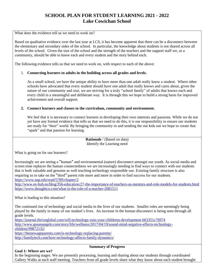What does the evidence tell us we need to work on?

Based on qualitative evidence over the last year at LCS, it has become apparent that there can be a disconnect between the elementary and secondary sides of the school. In particular, the knowledge about students is not shared across all levels of the school. Given the size of the school and the strength of the teachers and the support staff we, as a community, should be able to know each and every student and the story behind each.

The following evidence tells us that we need to work on, with respect to each of the above:

# 1. **Connecting learners to adults in the building across all grades and levels.**

As a small school, we have the unique ability to have more than one adult really know a student. Where other schools have advocated that every student should have one adult that really knows and cares about, given the nature of our community and size, we are striving for a truly "school family" of adults that knows each and every child in a meaningful and deliberate way. It is through this we hope to build a strong basis for improved achievement and overall support.

## **2. Connect learners and classes to the curriculum, community and environment.**

We feel that it is necessary to connect learners in developing their own interests and passions. While we do not yet have any formal evidence that tells us that we need to do this, it is our responsibility to ensure our students are ready for "their" world. By bringing the community in and sending the out kids out we hope to create that "spark" and that passion for learning.

> **Rationale** / (Based on data) Identify the Learning need

What is going on for our learners?

Increasingly we are seeing a "human" and environmental (nature) disconnect amongst our youth. As social media and screen time replaces the human connectedness we are increasingly needing to find ways to connect with our students that is both valuable and genuine as well teaching technology responsible use. Existing family structure is also requiring us to take on the "third" parent role more and more in order to find success for our students. <https://www.nap.edu/read/5789/chapter/2>

<http://www.ee-hub.eu/blog/356-education/27-the-importance-of-teachers-as-mentors-and-role-models-for-students.html> <https://www.thoughtco.com/what-is-the-role-of-a-teacher-2081511>

What is leading to this situation?

The continued rise of technology and social media in the lives of our students. Smaller roles are seemingly being played by the family in many of our student's lives. An increase in the human disconnect is being seen through all grade levels.

<https://journal.thriveglobal.com/will-technology-ruin-your-childrens-development-663351c76974> [http://www.gosanangelo.com/story/life/wellness/2017/04/19/sound-mind-negative-effects-technology](http://www.gosanangelo.com/story/life/wellness/2017/04/19/sound-mind-negative-effects-technology-children/99872132/)[children/99872132/](http://www.gosanangelo.com/story/life/wellness/2017/04/19/sound-mind-negative-effects-technology-children/99872132/)

<https://thenewageparents.com/is-technology-replacing-parents/> <http://familytech.com/how-technology-affects-family-dynamics/>

## **Summary of Progress**

**Goal 1: Where are we?**

In the beginning stages. We are presently processing, learning and sharing about our students through coordinated Gallery Walks at each staff meeting. Teachers from all grade levels share what they know about each student brought